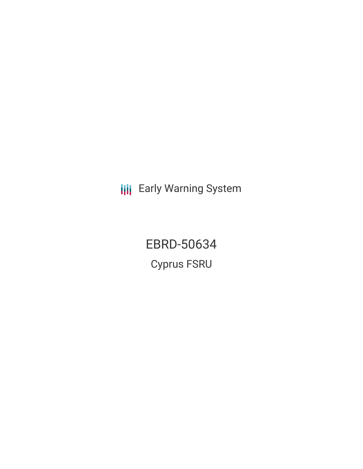**III** Early Warning System

EBRD-50634 Cyprus FSRU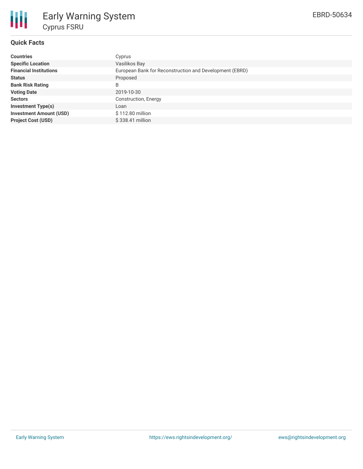

# **Quick Facts**

| <b>Countries</b>               | Cyprus                                                  |
|--------------------------------|---------------------------------------------------------|
| <b>Specific Location</b>       | Vasilikos Bay                                           |
| <b>Financial Institutions</b>  | European Bank for Reconstruction and Development (EBRD) |
| <b>Status</b>                  | Proposed                                                |
| <b>Bank Risk Rating</b>        | B                                                       |
| <b>Voting Date</b>             | 2019-10-30                                              |
| <b>Sectors</b>                 | Construction, Energy                                    |
| <b>Investment Type(s)</b>      | Loan                                                    |
| <b>Investment Amount (USD)</b> | \$112.80 million                                        |
| <b>Project Cost (USD)</b>      | \$338.41 million                                        |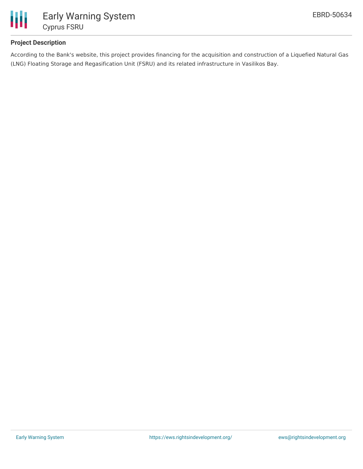

# **Project Description**

According to the Bank's website, this project provides financing for the acquisition and construction of a Liquefied Natural Gas (LNG) Floating Storage and Regasification Unit (FSRU) and its related infrastructure in Vasilikos Bay.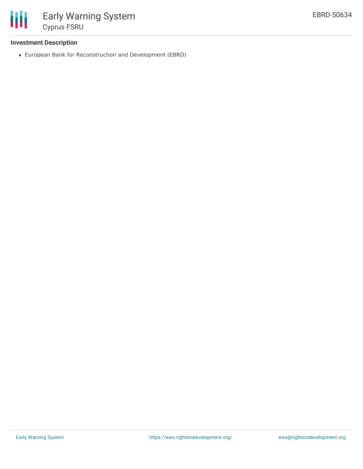

# **Investment Description**

European Bank for Reconstruction and Development (EBRD)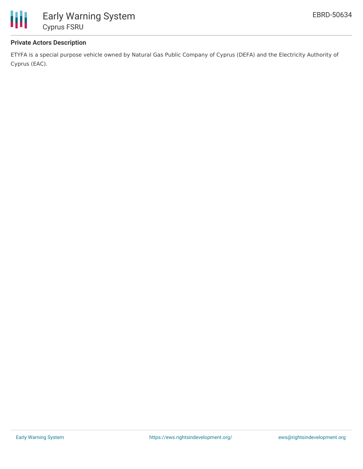

# **Private Actors Description**

ETYFA is a special purpose vehicle owned by Natural Gas Public Company of Cyprus (DEFA) and the Electricity Authority of Cyprus (EAC).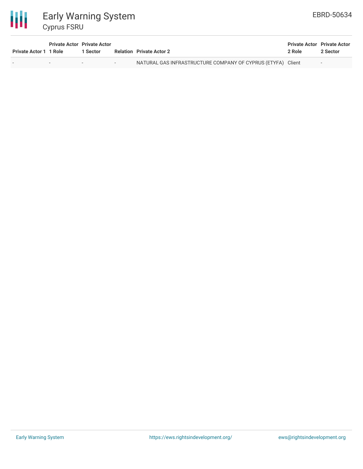

| <b>Private Actor 1 1 Role</b> | <b>Private Actor Private Actor</b> | 1 Sector | <b>Relation</b> Private Actor 2                             | <b>Private Actor Private Actor</b><br>2 Role | 2 Sector |
|-------------------------------|------------------------------------|----------|-------------------------------------------------------------|----------------------------------------------|----------|
|                               |                                    |          | NATURAL GAS INFRASTRUCTURE COMPANY OF CYPRUS (ETYFA) Client |                                              |          |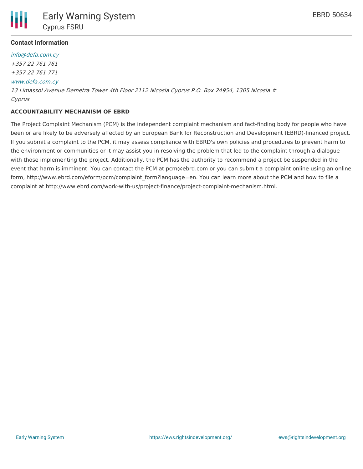

## **Contact Information**

[info@defa.com.cy](mailto:info@defa.com.cy) +357 22 761 761 +357 22 761 771 [www.defa.com.cy](http://www.defa.com.cy/) 13 Limassol Avenue Demetra Tower 4th Floor 2112 Nicosia Cyprus P.O. Box 24954, 1305 Nicosia # Cyprus

#### **ACCOUNTABILITY MECHANISM OF EBRD**

The Project Complaint Mechanism (PCM) is the independent complaint mechanism and fact-finding body for people who have been or are likely to be adversely affected by an European Bank for Reconstruction and Development (EBRD)-financed project. If you submit a complaint to the PCM, it may assess compliance with EBRD's own policies and procedures to prevent harm to the environment or communities or it may assist you in resolving the problem that led to the complaint through a dialogue with those implementing the project. Additionally, the PCM has the authority to recommend a project be suspended in the event that harm is imminent. You can contact the PCM at pcm@ebrd.com or you can submit a complaint online using an online form, http://www.ebrd.com/eform/pcm/complaint\_form?language=en. You can learn more about the PCM and how to file a complaint at http://www.ebrd.com/work-with-us/project-finance/project-complaint-mechanism.html.